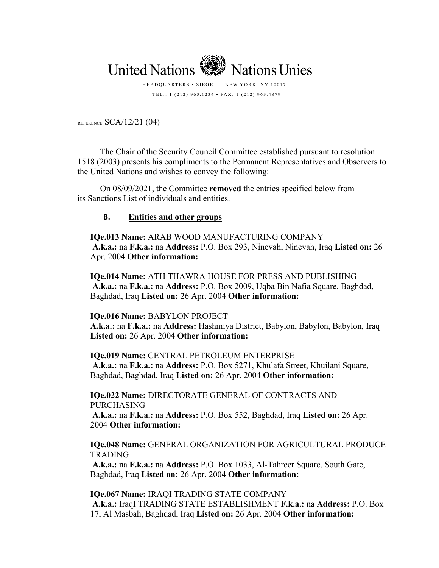

TEL.: 1 (212) 963.1234 • FAX: 1 (212) 963.4879

REFERENCE: SCA/12/21 (04)

The Chair of the Security Council Committee established pursuant to resolution 1518 (2003) presents his compliments to the Permanent Representatives and Observers to the United Nations and wishes to convey the following:

On 08/09/2021, the Committee **removed** the entries specified below from its Sanctions List of individuals and entities.

# **B. [Entities and other groups](https://scsanctions.un.org/en/?keywords=iraq#alqaedaent)**

**IQe.013 Name:** ARAB WOOD MANUFACTURING COMPANY **A.k.a.:** na **F.k.a.:** na **Address:** P.O. Box 293, Ninevah, Ninevah, Iraq **Listed on:** 26 Apr. 2004 **Other information:** 

**IQe.014 Name:** ATH THAWRA HOUSE FOR PRESS AND PUBLISHING **A.k.a.:** na **F.k.a.:** na **Address:** P.O. Box 2009, Uqba Bin Nafia Square, Baghdad, Baghdad, Iraq **Listed on:** 26 Apr. 2004 **Other information:** 

### **IQe.016 Name:** BABYLON PROJECT

**A.k.a.:** na **F.k.a.:** na **Address:** Hashmiya District, Babylon, Babylon, Babylon, Iraq **Listed on:** 26 Apr. 2004 **Other information:** 

### **IQe.019 Name:** CENTRAL PETROLEUM ENTERPRISE

**A.k.a.:** na **F.k.a.:** na **Address:** P.O. Box 5271, Khulafa Street, Khuilani Square, Baghdad, Baghdad, Iraq **Listed on:** 26 Apr. 2004 **Other information:**

**IQe.022 Name:** DIRECTORATE GENERAL OF CONTRACTS AND PURCHASING

**A.k.a.:** na **F.k.a.:** na **Address:** P.O. Box 552, Baghdad, Iraq **Listed on:** 26 Apr. 2004 **Other information:** 

# **IQe.048 Name:** GENERAL ORGANIZATION FOR AGRICULTURAL PRODUCE TRADING

**A.k.a.:** na **F.k.a.:** na **Address:** P.O. Box 1033, Al-Tahreer Square, South Gate, Baghdad, Iraq **Listed on:** 26 Apr. 2004 **Other information:** 

**IQe.067 Name:** IRAQI TRADING STATE COMPANY **A.k.a.:** IraqI TRADING STATE ESTABLISHMENT **F.k.a.:** na **Address:** P.O. Box 17, Al Masbah, Baghdad, Iraq **Listed on:** 26 Apr. 2004 **Other information:**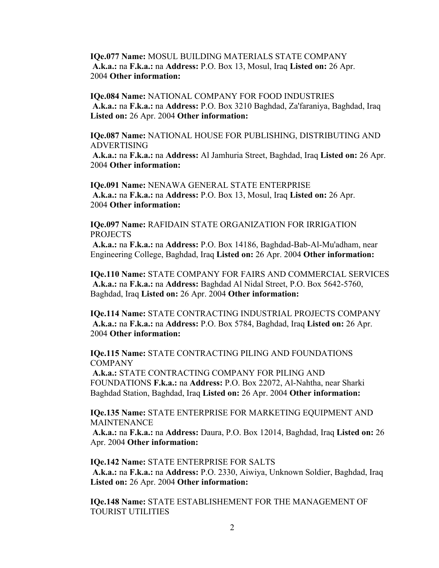**IQe.077 Name:** MOSUL BUILDING MATERIALS STATE COMPANY **A.k.a.:** na **F.k.a.:** na **Address:** P.O. Box 13, Mosul, Iraq **Listed on:** 26 Apr. 2004 **Other information:** 

**IQe.084 Name:** NATIONAL COMPANY FOR FOOD INDUSTRIES **A.k.a.:** na **F.k.a.:** na **Address:** P.O. Box 3210 Baghdad, Za'faraniya, Baghdad, Iraq **Listed on:** 26 Apr. 2004 **Other information:** 

**IQe.087 Name:** NATIONAL HOUSE FOR PUBLISHING, DISTRIBUTING AND ADVERTISING

**A.k.a.:** na **F.k.a.:** na **Address:** Al Jamhuria Street, Baghdad, Iraq **Listed on:** 26 Apr. 2004 **Other information:** 

**IQe.091 Name:** NENAWA GENERAL STATE ENTERPRISE **A.k.a.:** na **F.k.a.:** na **Address:** P.O. Box 13, Mosul, Iraq **Listed on:** 26 Apr. 2004 **Other information:** 

**IQe.097 Name:** RAFIDAIN STATE ORGANIZATION FOR IRRIGATION PROJECTS

**A.k.a.:** na **F.k.a.:** na **Address:** P.O. Box 14186, Baghdad-Bab-Al-Mu'adham, near Engineering College, Baghdad, Iraq **Listed on:** 26 Apr. 2004 **Other information:** 

**IQe.110 Name:** STATE COMPANY FOR FAIRS AND COMMERCIAL SERVICES **A.k.a.:** na **F.k.a.:** na **Address:** Baghdad Al Nidal Street, P.O. Box 5642-5760, Baghdad, Iraq **Listed on:** 26 Apr. 2004 **Other information:** 

**IQe.114 Name:** STATE CONTRACTING INDUSTRIAL PROJECTS COMPANY **A.k.a.:** na **F.k.a.:** na **Address:** P.O. Box 5784, Baghdad, Iraq **Listed on:** 26 Apr. 2004 **Other information:** 

**IQe.115 Name:** STATE CONTRACTING PILING AND FOUNDATIONS **COMPANY** 

**A.k.a.:** STATE CONTRACTING COMPANY FOR PILING AND FOUNDATIONS **F.k.a.:** na **Address:** P.O. Box 22072, Al-Nahtha, near Sharki Baghdad Station, Baghdad, Iraq **Listed on:** 26 Apr. 2004 **Other information:** 

**IQe.135 Name:** STATE ENTERPRISE FOR MARKETING EQUIPMENT AND **MAINTENANCE** 

**A.k.a.:** na **F.k.a.:** na **Address:** Daura, P.O. Box 12014, Baghdad, Iraq **Listed on:** 26 Apr. 2004 **Other information:** 

**IQe.142 Name:** STATE ENTERPRISE FOR SALTS **A.k.a.:** na **F.k.a.:** na **Address:** P.O. 2330, Aiwiya, Unknown Soldier, Baghdad, Iraq **Listed on:** 26 Apr. 2004 **Other information:** 

**IQe.148 Name:** STATE ESTABLISHEMENT FOR THE MANAGEMENT OF TOURIST UTILITIES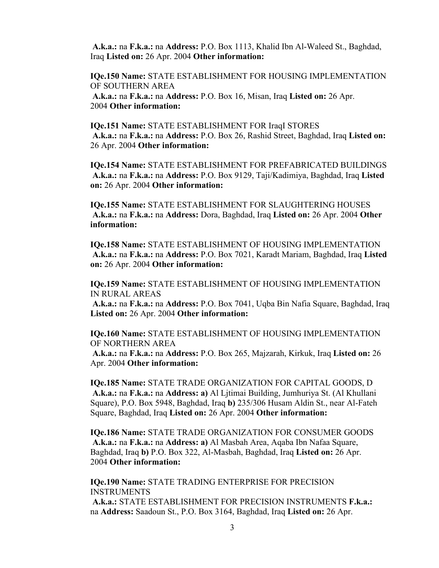**A.k.a.:** na **F.k.a.:** na **Address:** P.O. Box 1113, Khalid Ibn Al-Waleed St., Baghdad, Iraq **Listed on:** 26 Apr. 2004 **Other information:** 

**IQe.150 Name:** STATE ESTABLISHMENT FOR HOUSING IMPLEMENTATION OF SOUTHERN AREA

**A.k.a.:** na **F.k.a.:** na **Address:** P.O. Box 16, Misan, Iraq **Listed on:** 26 Apr. 2004 **Other information:** 

**IQe.151 Name:** STATE ESTABLISHMENT FOR IraqI STORES **A.k.a.:** na **F.k.a.:** na **Address:** P.O. Box 26, Rashid Street, Baghdad, Iraq **Listed on:**  26 Apr. 2004 **Other information:** 

**IQe.154 Name:** STATE ESTABLISHMENT FOR PREFABRICATED BUILDINGS **A.k.a.:** na **F.k.a.:** na **Address:** P.O. Box 9129, Taji/Kadimiya, Baghdad, Iraq **Listed on:** 26 Apr. 2004 **Other information:** 

**IQe.155 Name:** STATE ESTABLISHMENT FOR SLAUGHTERING HOUSES **A.k.a.:** na **F.k.a.:** na **Address:** Dora, Baghdad, Iraq **Listed on:** 26 Apr. 2004 **Other information:** 

**IQe.158 Name:** STATE ESTABLISHMENT OF HOUSING IMPLEMENTATION **A.k.a.:** na **F.k.a.:** na **Address:** P.O. Box 7021, Karadt Mariam, Baghdad, Iraq **Listed on:** 26 Apr. 2004 **Other information:** 

**IQe.159 Name:** STATE ESTABLISHMENT OF HOUSING IMPLEMENTATION IN RURAL AREAS

**A.k.a.:** na **F.k.a.:** na **Address:** P.O. Box 7041, Uqba Bin Nafia Square, Baghdad, Iraq **Listed on:** 26 Apr. 2004 **Other information:** 

**IQe.160 Name:** STATE ESTABLISHMENT OF HOUSING IMPLEMENTATION OF NORTHERN AREA

**A.k.a.:** na **F.k.a.:** na **Address:** P.O. Box 265, Majzarah, Kirkuk, Iraq **Listed on:** 26 Apr. 2004 **Other information:** 

**IQe.185 Name:** STATE TRADE ORGANIZATION FOR CAPITAL GOODS, D **A.k.a.:** na **F.k.a.:** na **Address: a)** Al Ljtimai Building, Jumhuriya St. (Al Khullani Square), P.O. Box 5948, Baghdad, Iraq **b)** 235/306 Husam Aldin St., near Al-Fateh Square, Baghdad, Iraq **Listed on:** 26 Apr. 2004 **Other information:** 

**IQe.186 Name:** STATE TRADE ORGANIZATION FOR CONSUMER GOODS **A.k.a.:** na **F.k.a.:** na **Address: a)** Al Masbah Area, Aqaba Ibn Nafaa Square, Baghdad, Iraq **b)** P.O. Box 322, Al-Masbah, Baghdad, Iraq **Listed on:** 26 Apr. 2004 **Other information:** 

**IQe.190 Name:** STATE TRADING ENTERPRISE FOR PRECISION INSTRUMENTS **A.k.a.:** STATE ESTABLISHMENT FOR PRECISION INSTRUMENTS **F.k.a.:**  na **Address:** Saadoun St., P.O. Box 3164, Baghdad, Iraq **Listed on:** 26 Apr.